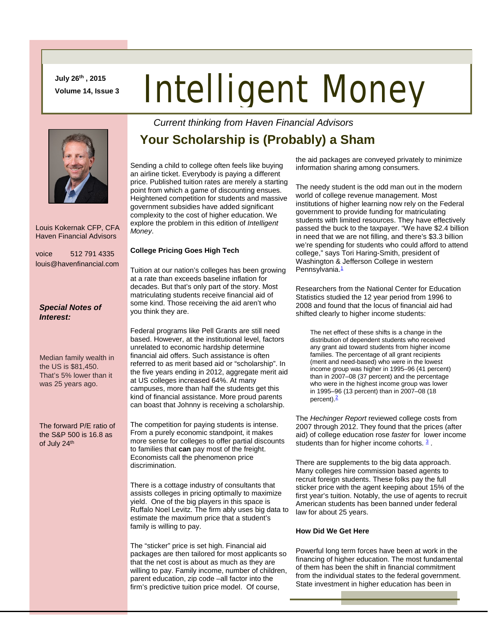**July 26th , 2015 Volume 14, Issue 3**

# Intelligent Money

 Louis Kokernak CFP, CFA Haven Financial Advisors

voice 512 791 4335 louis@havenfinancial.com

### *Special Notes of Interest:*

Median family wealth in the US is \$81,450. That's 5% lower than it was 25 years ago.

The forward P/E ratio of the S&P 500 is 16.8 as of July 24<sup>th</sup>

## **Your Scholarship is (Probably) a Sham**

*Current thinking from Haven Financial Advisors* 

Sending a child to college often feels like buying an airline ticket. Everybody is paying a different price. Published tuition rates are merely a starting point from which a game of discounting ensues. Heightened competition for students and massive government subsidies have added significant complexity to the cost of higher education. We explore the problem in this edition of *Intelligent Money*.

### **College Pricing Goes High Tech**

Tuition at our nation's colleges has been growing at a rate than exceeds baseline inflation for decades. But that's only part of the story. Most matriculating students receive financial aid of some kind. Those receiving the aid aren't who you think they are.

Federal programs like Pell Grants are still need based. However, at the institutional level, factors unrelated to economic hardship determine financial aid offers. Such assistance is often referred to as merit based aid or "scholarship". In the five years ending in 2012, aggregate merit aid at US colleges increased 64%. At many campuses, more than half the students get this kind of financial assistance. More proud parents can boast that Johnny is receiving a scholarship.

The competition for paying students is intense. From a purely economic standpoint, it makes more sense for colleges to offer partial discounts to families that **can** pay most of the freight. Economists call the phenomenon price discrimination.

There is a cottage industry of consultants that assists colleges in pricing optimally to maximize yield. One of the big players in this space is Ruffalo Noel Levitz. The firm ably uses big data to estimate the maximum price that a student's family is willing to pay.

The "sticker" price is set high. Financial aid packages are then tailored for most applicants so that the net cost is about as much as they are willing to pay. Family income, number of children, parent education, zip code –all factor into the firm's predictive tuition price model. Of course,

the aid packages are conveyed privately to minimize information sharing among consumers.

The needy student is the odd man out in the modern world of college revenue management. Most institutions of higher learning now rely on the Federal government to provide funding for matriculating students with limited resources. They have effectively passed the buck to the taxpayer. "We have \$2.4 billion in need that we are not filling, and there's \$3.3 billion we're spending for students who could afford to attend college," says Tori Haring-Smith, president of Washington & Jefferson College in western Pennsylvania.<sup>1</sup>

Researchers from the National Center for Education Statistics studied the 12 year period from 1996 to 2008 and found that the locus of financial aid had shifted clearly to higher income students:

The net effect of these shifts is a change in the distribution of dependent students who received any grant aid toward students from higher income families. The percentage of all grant recipients (merit and need-based) who were in the lowest income group was higher in 1995–96 (41 percent) than in 2007–08 (37 percent) and the percentage who were in the highest income group was lower in 1995–96 (13 percent) than in 2007–08 (18 percent).<sup>[2](http://nces.ed.gov/pubs2012/2012160.pdf)</sup>

The *Hechinger Report* reviewed college costs from 2007 through 2012. They found that the prices (after aid) of college education rose *faster* for lower income students than for higher income cohorts.  $3$ .

There are supplements to the big data approach. Many colleges hire commission based agents to recruit foreign students. These folks pay the full sticker price with the agent keeping about 15% of the first year's tuition. Notably, the use of agents to recruit American students has been banned under federal law for about 25 years.

#### **How Did We Get Here**

Powerful long term forces have been at work in the financing of higher education. The most fundamental of them has been the shift in financial commitment from the individual states to the federal government. State investment in higher education has been in